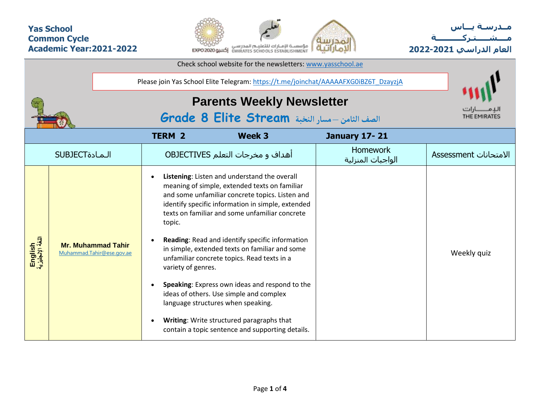## **Yas School Common Cycle Academic Year:2021-2022**



**مــدرسـة يـــاس مــــشـ ـــ ـتـ ركـ ــــــــــ ة العام الدراسي -2021 2022**

| Check school website for the newsletters: www.yasschool.ae |                |                                                                                   |                                                                                     |                                                                                                                                                                                                                                                                                                                                                                                                                                                                                                                                                                                                                                                 |                                      |                              |
|------------------------------------------------------------|----------------|-----------------------------------------------------------------------------------|-------------------------------------------------------------------------------------|-------------------------------------------------------------------------------------------------------------------------------------------------------------------------------------------------------------------------------------------------------------------------------------------------------------------------------------------------------------------------------------------------------------------------------------------------------------------------------------------------------------------------------------------------------------------------------------------------------------------------------------------------|--------------------------------------|------------------------------|
|                                                            |                |                                                                                   | Please join Yas School Elite Telegram: https://t.me/joinchat/AAAAAFXG0iBZ6T_DzayzjA |                                                                                                                                                                                                                                                                                                                                                                                                                                                                                                                                                                                                                                                 |                                      |                              |
|                                                            |                | <b>Parents Weekly Newsletter</b><br>الصف الثامن -مسار النخبة Grade 8 Elite Stream |                                                                                     |                                                                                                                                                                                                                                                                                                                                                                                                                                                                                                                                                                                                                                                 | THE EMIRATES                         |                              |
|                                                            |                |                                                                                   | <b>TERM 2</b>                                                                       | Week 3                                                                                                                                                                                                                                                                                                                                                                                                                                                                                                                                                                                                                                          | <b>January 17-21</b>                 |                              |
|                                                            | <b>SUBJECT</b> |                                                                                   |                                                                                     | أهداف و مخرجات التعلم OBJECTIVES                                                                                                                                                                                                                                                                                                                                                                                                                                                                                                                                                                                                                | <b>Homework</b><br>الواجبات المنزلية | <b>Assessment</b> الامتحانات |
| English<br>اللغة الإنجليزية                                |                | <b>Mr. Muhammad Tahir</b><br>Muhammad.Tahir@ese.gov.ae                            | $\bullet$<br>topic.<br>variety of genres.<br>$\bullet$<br>$\bullet$                 | Listening: Listen and understand the overall<br>meaning of simple, extended texts on familiar<br>and some unfamiliar concrete topics. Listen and<br>identify specific information in simple, extended<br>texts on familiar and some unfamiliar concrete<br>Reading: Read and identify specific information<br>in simple, extended texts on familiar and some<br>unfamiliar concrete topics. Read texts in a<br>Speaking: Express own ideas and respond to the<br>ideas of others. Use simple and complex<br>language structures when speaking.<br>Writing: Write structured paragraphs that<br>contain a topic sentence and supporting details. |                                      | Weekly quiz                  |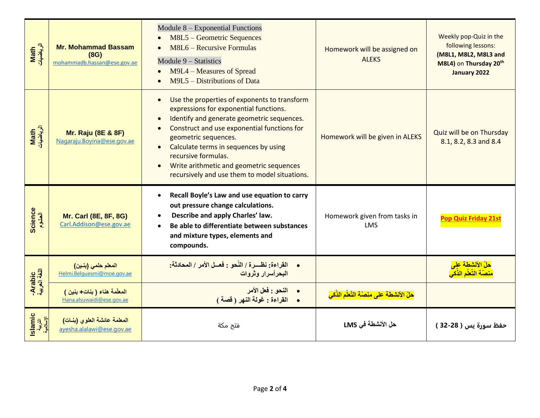| Math<br>الرياضيات               | <b>Mr. Mohammad Bassam</b><br>(8G)<br>mohammadb.hassan@ese.gov.ae | Module 8 – Exponential Functions<br>M8L5 - Geometric Sequences<br>M8L6 – Recursive Formulas<br>Module $9 - Statistics$<br>M9L4 – Measures of Spread<br>M9L5 – Distributions of Data                                                                                                                                                                                                                                                       | Homework will be assigned on<br><b>ALEKS</b> | Weekly pop-Quiz in the<br>following lessons:<br>(M8L1, M8L2, M8L3 and<br>M8L4) on Thursday 20th<br>January 2022 |
|---------------------------------|-------------------------------------------------------------------|-------------------------------------------------------------------------------------------------------------------------------------------------------------------------------------------------------------------------------------------------------------------------------------------------------------------------------------------------------------------------------------------------------------------------------------------|----------------------------------------------|-----------------------------------------------------------------------------------------------------------------|
| Math<br>الرياضيات               | <b>Mr. Raju (8E &amp; 8F)</b><br>Nagaraju. Boyina@ese.gov.ae      | Use the properties of exponents to transform<br>$\bullet$<br>expressions for exponential functions.<br>Identify and generate geometric sequences.<br>$\bullet$<br>Construct and use exponential functions for<br>$\bullet$<br>geometric sequences.<br>Calculate terms in sequences by using<br>$\bullet$<br>recursive formulas.<br>Write arithmetic and geometric sequences<br>$\bullet$<br>recursively and use them to model situations. | Homework will be given in ALEKS              | Quiz will be on Thursday<br>8.1, 8.2, 8.3 and 8.4                                                               |
| Science<br>العلوم               | <b>Mr. Carl (8E, 8F, 8G)</b><br>Carl.Addison@ese.gov.ae           | Recall Boyle's Law and use equation to carry<br>$\bullet$<br>out pressure change calculations.<br>Describe and apply Charles' law.<br>Be able to differentiate between substances<br>and mixture types, elements and<br>compounds.                                                                                                                                                                                                        | Homework given from tasks in<br><b>LMS</b>   | <b>Pop Quiz Friday 21st</b>                                                                                     |
| Arabic<br>اللغة العربية         | المعلم حلمي (بنين)<br>Helmi.Belquesmi@moe.gov.ae                  | القراءة: نظرة / النّحو : فعسل الأمر / المحادثة:<br>البحرأسرار وثروات                                                                                                                                                                                                                                                                                                                                                                      |                                              | <mark>حلّ الأنشطة على</mark><br>منصّة التّعلّم الذّك <i>ي</i>                                                   |
|                                 | المعلّمة هناء (بنات+بنين)<br>Hana.alsuwaidi@ese.gov.ae            | •     النحو : فعل الأمر<br>•     القراءة : غولة النهر ( قصة )                                                                                                                                                                                                                                                                                                                                                                             | حلّ الأنشطة على منصّة التّعلّم الذّكي        |                                                                                                                 |
| Islamic<br>التربية<br>الإسلامية | المعلمة عائشة العلوي (بنات)<br>ayesha.alalawi@ese.gov.ae          | فتح مكة                                                                                                                                                                                                                                                                                                                                                                                                                                   | حل الأنشطة في LMS                            | حفظ سورة يس ( 28-32 )                                                                                           |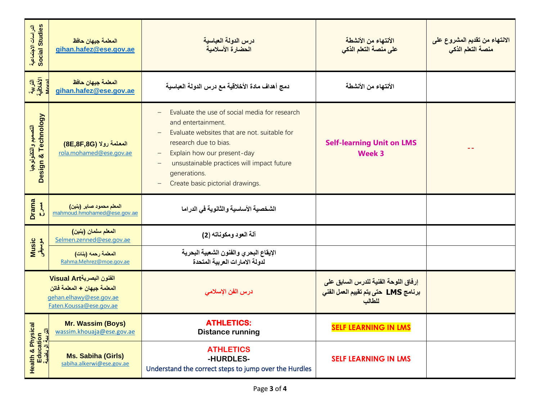| الدراسات الاجتماعية<br>Social Studies               | المعلمة جيهان حافظ<br>gihan.hafez@ese.gov.ae                                                                   | درس الدولة العباسية<br>الحضارة الأسلامية                                                                                                                                                                                                                                                                                       | الأنتهاء من الأنشطة<br>على منصة التعلم الذكي                                           | الانتهاء من تقديم المشروع على<br>منصة التعلم الذكى |
|-----------------------------------------------------|----------------------------------------------------------------------------------------------------------------|--------------------------------------------------------------------------------------------------------------------------------------------------------------------------------------------------------------------------------------------------------------------------------------------------------------------------------|----------------------------------------------------------------------------------------|----------------------------------------------------|
| الكربية<br>الأخلاقية<br>Lacal                       | المعلمة جيهان حافظ<br>gihan.hafez@ese.gov.ae                                                                   | دمج أهداف مادة الأخلاقية مع درس الدولة العباسية                                                                                                                                                                                                                                                                                | الأنتهاء من الأنشطة                                                                    |                                                    |
| Design & Technology<br>التصعيم والتكنولوجيا         | المعلمة رولا (8E,8F,8G)<br>rola.mohamed@ese.gov.ae                                                             | Evaluate the use of social media for research<br>and entertainment.<br>Evaluate websites that are not. suitable for<br>research due to bias.<br>Explain how our present-day<br>$\overline{\phantom{m}}$<br>unsustainable practices will impact future<br>$\qquad \qquad -$<br>generations.<br>Create basic pictorial drawings. | <b>Self-learning Unit on LMS</b><br><b>Week 3</b>                                      |                                                    |
| <b>Drama</b><br>$rac{4}{\sqrt{2}}$                  | المعلم محمود صابر (بنين)<br>mahmoud.hmohamed@ese.gov.ae                                                        | الشخصية الأساسية والثانوية في الدراما                                                                                                                                                                                                                                                                                          |                                                                                        |                                                    |
| Music<br>موسیقی                                     | المعلم سلمان (بنين)<br>Selmen.zenned@ese.gov.ae                                                                | آلة العود ومكوناته (2)                                                                                                                                                                                                                                                                                                         |                                                                                        |                                                    |
|                                                     | المعلمة رحمه (بنات)<br>Rahma.Mehrez@moe.gov.ae                                                                 | الإيقاع البحري والفنون الشعبية البحرية<br>لدولة الامارات العربية المتحدة                                                                                                                                                                                                                                                       |                                                                                        |                                                    |
|                                                     | الفنون البصريةVisual Art<br>المعلمة جيهان + المعلمة فاتن<br>gehan.elhawy@ese.gov.ae<br>Faten.Koussa@ese.gov.ae | درس الفن الإسلام <i>ى</i>                                                                                                                                                                                                                                                                                                      | إرفاق اللوحة الفنية للدرس السابق على<br>برنامج LMS حتى يتم تقييم العمل الفني<br>للطالب |                                                    |
| Health & Physical<br>Education<br>الله بية الرياضية | Mr. Wassim (Boys)<br>wassim.khouaja@ese.gov.ae                                                                 | <b>ATHLETICS:</b><br><b>Distance running</b>                                                                                                                                                                                                                                                                                   | <b>SELF LEARNING IN LMS</b>                                                            |                                                    |
|                                                     | <b>Ms. Sabiha (Girls)</b><br>sabiha.alkerwi@ese.gov.ae                                                         | <b>ATHLETICS</b><br>-HURDLES-<br>Understand the correct steps to jump over the Hurdles                                                                                                                                                                                                                                         | <b>SELF LEARNING IN LMS</b>                                                            |                                                    |